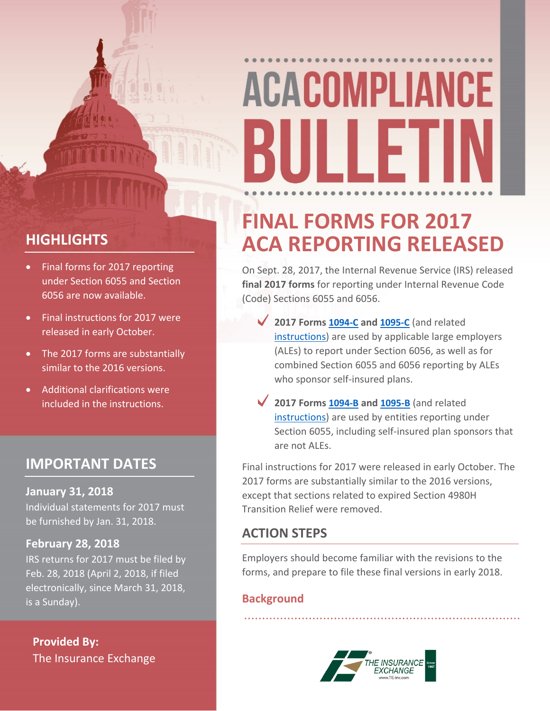# **ACACOMPLIANCE** {iii ii fi

#### **HIGHLIGHTS**

- Final forms for 2017 reporting under Section 6055 and Section 6056 are now available.
- Final instructions for 2017 were released in early October.
- The 2017 forms are substantially similar to the 2016 versions.
- Additional clarifications were included in the instructions.

#### **IMPORTANT DATES**

#### **January 31, 2018**

Individual statements for 2017 must be furnished by Jan. 31, 2018.

#### **February 28, 2018**

IRS returns for 2017 must be filed by Feb. 28, 2018 (April 2, 2018, if filed electronically, since March 31, 2018, is a Sunday).

**Provided By:** The Insurance Exchange

### **FINAL FORMS FOR 2017 ACA REPORTING RELEASED**

On Sept. 28, 2017, the Internal Revenue Service (IRS) released **final 2017 forms** for reporting under Internal Revenue Code (Code) Sections 6055 and 6056.

- **2017 Forms [1094-C](https://www.irs.gov/pub/irs-pdf/f1094c.pdf) and [1095-C](https://www.irs.gov/pub/irs-pdf/f1095c.pdf)** (and related [instructions\)](https://www.irs.gov/pub/irs-pdf/i109495c.pdf) are used by applicable large employers (ALEs) to report under Section 6056, as well as for combined Section 6055 and 6056 reporting by ALEs who sponsor self-insured plans.
- **2017 Forms [1094-B](https://www.irs.gov/pub/irs-pdf/f1094b.pdf) and [1095-B](https://www.irs.gov/pub/irs-pdf/f1095b.pdf)** (and related [instructions\)](https://www.irs.gov/pub/irs-pdf/i109495b.pdf) are used by entities reporting under Section 6055, including self-insured plan sponsors that are not ALEs.

Final instructions for 2017 were released in early October. The 2017 forms are substantially similar to the 2016 versions, except that sections related to expired Section 4980H Transition Relief were removed.

#### **ACTION STEPS**

Employers should become familiar with the revisions to the forms, and prepare to file these final versions in early 2018.

#### **Background**

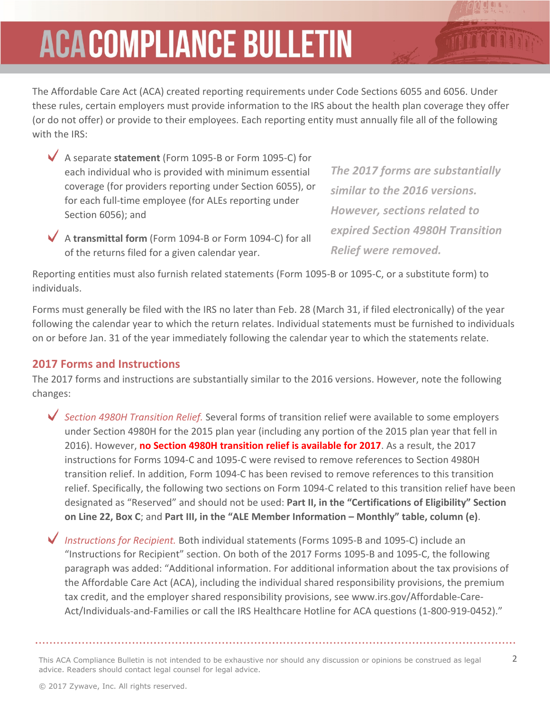## **ACACOMPLIANCE BULLETIN**

The Affordable Care Act (ACA) created reporting requirements under Code Sections 6055 and 6056. Under these rules, certain employers must provide information to the IRS about the health plan coverage they offer (or do not offer) or provide to their employees. Each reporting entity must annually file all of the following with the IRS:

- A separate **statement** (Form 1095-B or Form 1095-C) for each individual who is provided with minimum essential coverage (for providers reporting under Section 6055), or for each full-time employee (for ALEs reporting under Section 6056); and
- A **transmittal form** (Form 1094-B or Form 1094-C) for all of the returns filed for a given calendar year.

*The 2017 forms are substantially similar to the 2016 versions. However, sections related to expired Section 4980H Transition Relief were removed.*

Reporting entities must also furnish related statements (Form 1095-B or 1095-C, or a substitute form) to individuals.

Forms must generally be filed with the IRS no later than Feb. 28 (March 31, if filed electronically) of the year following the calendar year to which the return relates. Individual statements must be furnished to individuals on or before Jan. 31 of the year immediately following the calendar year to which the statements relate.

#### **2017 Forms and Instructions**

The 2017 forms and instructions are substantially similar to the 2016 versions. However, note the following changes:

*Section 4980H Transition Relief.* Several forms of transition relief were available to some employers under Section 4980H for the 2015 plan year (including any portion of the 2015 plan year that fell in 2016). However, **no Section 4980H transition relief is available for 2017**. As a result, the 2017 instructions for Forms 1094-C and 1095-C were revised to remove references to Section 4980H transition relief. In addition, Form 1094-C has been revised to remove references to this transition relief. Specifically, the following two sections on Form 1094-C related to this transition relief have been designated as "Reserved" and should not be used: **Part II, in the "Certifications of Eligibility" Section on Line 22, Box C**; and **Part III, in the "ALE Member Information – Monthly" table, column (e)**.

*Instructions for Recipient.* Both individual statements (Forms 1095-B and 1095-C) include an "Instructions for Recipient" section. On both of the 2017 Forms 1095-B and 1095-C, the following paragraph was added: "Additional information. For additional information about the tax provisions of the Affordable Care Act (ACA), including the individual shared responsibility provisions, the premium tax credit, and the employer shared responsibility provisions, see www.irs.gov/Affordable-Care-Act/Individuals-and-Families or call the IRS Healthcare Hotline for ACA questions (1-800-919-0452)."

This ACA Compliance Bulletin is not intended to be exhaustive nor should any discussion or opinions be construed as legal 2 advice. Readers should contact legal counsel for legal advice.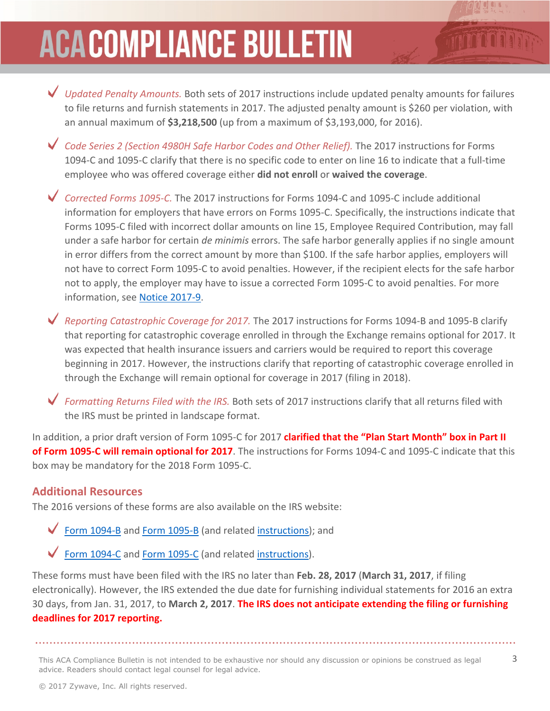## **ACACOMPLIANCE BULLETIN**



that reporting for catastrophic coverage enrolled in through the Exchange remains optional for 2017. It was expected that health insurance issuers and carriers would be required to report this coverage beginning in 2017. However, the instructions clarify that reporting of catastrophic coverage enrolled in through the Exchange will remain optional for coverage in 2017 (filing in 2018).

*Formatting Returns Filed with the IRS.* Both sets of 2017 instructions clarify that all returns filed with the IRS must be printed in landscape format.

In addition, a prior draft version of Form 1095-C for 2017 **clarified that the "Plan Start Month" box in Part II of Form 1095-C will remain optional for 2017**. The instructions for Forms 1094-C and 1095-C indicate that this box may be mandatory for the 2018 Form 1095-C.

#### **Additional Resources**

The 2016 versions of these forms are also available on the IRS website:

Form [1094-B](https://www.irs.gov/pub/irs-prior/f1094b--2016.pdf) and Form [1095-B](https://www.irs.gov/pub/irs-prior/f1095b--2016.pdf) (and related [instructions\)](https://www.irs.gov/pub/irs-prior/i109495b--2016.pdf); and

Form [1094-C](https://www.irs.gov/pub/irs-prior/f1094c--2016.pdf) and Form [1095-C](https://www.irs.gov/pub/irs-prior/f1095c--2016.pdf) (and related [instructions\)](https://www.irs.gov/pub/irs-prior/i109495c--2016.pdf).

These forms must have been filed with the IRS no later than **Feb. 28, 2017** (**March 31, 2017**, if filing electronically). However, the IRS extended the due date for furnishing individual statements for 2016 an extra 30 days, from Jan. 31, 2017, to **March 2, 2017**. **The IRS does not anticipate extending the filing or furnishing deadlines for 2017 reporting.**

This ACA Compliance Bulletin is not intended to be exhaustive nor should any discussion or opinions be construed as legal 3 advice. Readers should contact legal counsel for legal advice.